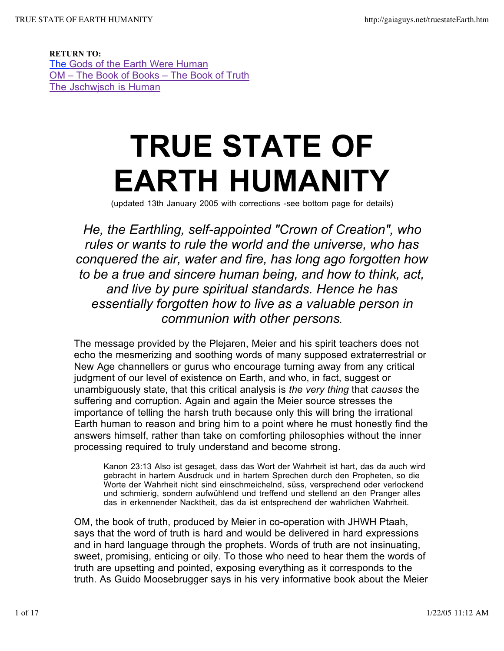RETURN TO: The Gods of the Earth Were Human OM – The Book of Books – The Book of Truth The Jschwjsch is Human

## **TRUE STATE OF EARTH HUMANITY**

(updated 13th January 2005 with corrections -see bottom page for details)

*He, the Earthling, self-appointed "Crown of Creation", who rules or wants to rule the world and the universe, who has conquered the air, water and fire, has long ago forgotten how to be a true and sincere human being, and how to think, act, and live by pure spiritual standards. Hence he has essentially forgotten how to live as a valuable person in communion with other persons.*

The message provided by the Plejaren, Meier and his spirit teachers does not echo the mesmerizing and soothing words of many supposed extraterrestrial or New Age channellers or gurus who encourage turning away from any critical judgment of our level of existence on Earth, and who, in fact, suggest or unambiguously state, that this critical analysis is *the very thing* that *causes* the suffering and corruption. Again and again the Meier source stresses the importance of telling the harsh truth because only this will bring the irrational Earth human to reason and bring him to a point where he must honestly find the answers himself, rather than take on comforting philosophies without the inner processing required to truly understand and become strong.

Kanon 23:13 Also ist gesaget, dass das Wort der Wahrheit ist hart, das da auch wird gebracht in hartem Ausdruck und in hartem Sprechen durch den Propheten, so die Worte der Wahrheit nicht sind einschmeichelnd, süss, versprechend oder verlockend und schmierig, sondern aufwühlend und treffend und stellend an den Pranger alles das in erkennender Nacktheit, das da ist entsprechend der wahrlichen Wahrheit.

OM, the book of truth, produced by Meier in co-operation with JHWH Ptaah, says that the word of truth is hard and would be delivered in hard expressions and in hard language through the prophets. Words of truth are not insinuating, sweet, promising, enticing or oily. To those who need to hear them the words of truth are upsetting and pointed, exposing everything as it corresponds to the truth. As Guido Moosebrugger says in his very informative book about the Meier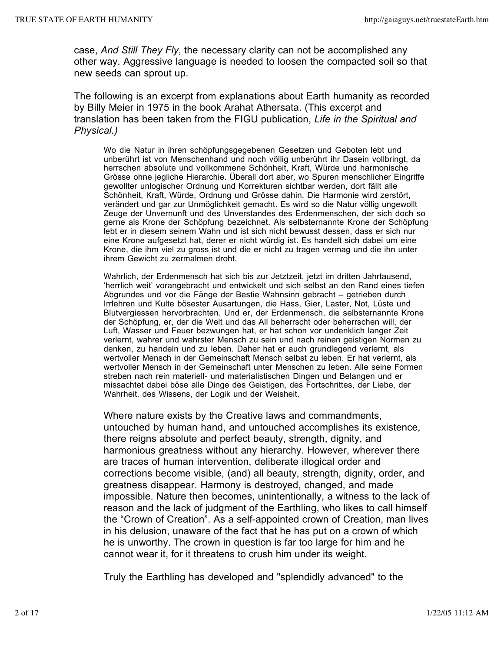case, *And Still They Fly*, the necessary clarity can not be accomplished any other way. Aggressive language is needed to loosen the compacted soil so that new seeds can sprout up.

The following is an excerpt from explanations about Earth humanity as recorded by Billy Meier in 1975 in the book Arahat Athersata. (This excerpt and translation has been taken from the FIGU publication, *Life in the Spiritual and Physical.)*

Wo die Natur in ihren schöpfungsgegebenen Gesetzen und Geboten lebt und unberührt ist von Menschenhand und noch völlig unberührt ihr Dasein vollbringt, da herrschen absolute und vollkommene Schönheit, Kraft, Würde und harmonische Grösse ohne jegliche Hierarchie. Überall dort aber, wo Spuren menschlicher Eingriffe gewollter unlogischer Ordnung und Korrekturen sichtbar werden, dort fällt alle Schönheit, Kraft, Würde, Ordnung und Grösse dahin. Die Harmonie wird zerstört, verändert und gar zur Unmöglichkeit gemacht. Es wird so die Natur völlig ungewollt Zeuge der Unvernunft und des Unverstandes des Erdenmenschen, der sich doch so gerne als Krone der Schöpfung bezeichnet. Als selbsternannte Krone der Schöpfung lebt er in diesem seinem Wahn und ist sich nicht bewusst dessen, dass er sich nur eine Krone aufgesetzt hat, derer er nicht würdig ist. Es handelt sich dabei um eine Krone, die ihm viel zu gross ist und die er nicht zu tragen vermag und die ihn unter ihrem Gewicht zu zermalmen droht.

Wahrlich, der Erdenmensch hat sich bis zur Jetztzeit, jetzt im dritten Jahrtausend, 'herrlich weit' vorangebracht und entwickelt und sich selbst an den Rand eines tiefen Abgrundes und vor die Fänge der Bestie Wahnsinn gebracht – getrieben durch Irrlehren und Kulte bösester Ausartungen, die Hass, Gier, Laster, Not, Lüste und Blutvergiessen hervorbrachten. Und er, der Erdenmensch, die selbsternannte Krone der Schöpfung, er, der die Welt und das All beherrscht oder beherrschen will, der Luft, Wasser und Feuer bezwungen hat, er hat schon vor undenklich langer Zeit verlernt, wahrer und wahrster Mensch zu sein und nach reinen geistigen Normen zu denken, zu handeln und zu leben. Daher hat er auch grundlegend verlernt, als wertvoller Mensch in der Gemeinschaft Mensch selbst zu leben. Er hat verlernt, als wertvoller Mensch in der Gemeinschaft unter Menschen zu leben. Alle seine Formen streben nach rein materiell- und materialistischen Dingen und Belangen und er missachtet dabei böse alle Dinge des Geistigen, des Fortschrittes, der Liebe, der Wahrheit, des Wissens, der Logik und der Weisheit.

Where nature exists by the Creative laws and commandments, untouched by human hand, and untouched accomplishes its existence, there reigns absolute and perfect beauty, strength, dignity, and harmonious greatness without any hierarchy. However, wherever there are traces of human intervention, deliberate illogical order and corrections become visible, (and) all beauty, strength, dignity, order, and greatness disappear. Harmony is destroyed, changed, and made impossible. Nature then becomes, unintentionally, a witness to the lack of reason and the lack of judgment of the Earthling, who likes to call himself the "Crown of Creation". As a self-appointed crown of Creation, man lives in his delusion, unaware of the fact that he has put on a crown of which he is unworthy. The crown in question is far too large for him and he cannot wear it, for it threatens to crush him under its weight.

Truly the Earthling has developed and "splendidly advanced" to the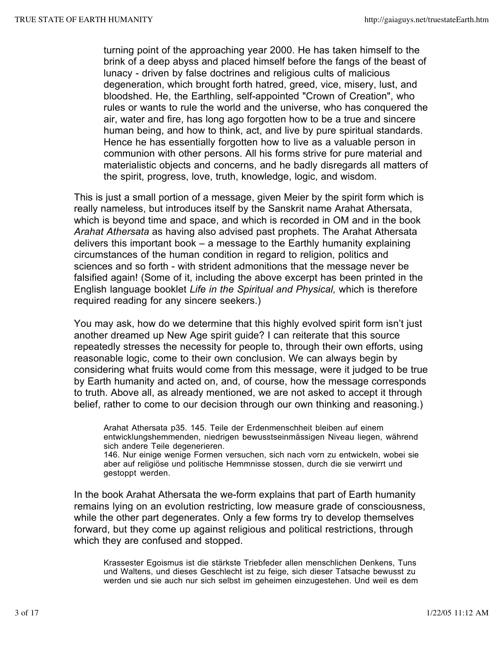turning point of the approaching year 2000. He has taken himself to the brink of a deep abyss and placed himself before the fangs of the beast of lunacy - driven by false doctrines and religious cults of malicious degeneration, which brought forth hatred, greed, vice, misery, lust, and bloodshed. He, the Earthling, self-appointed "Crown of Creation", who rules or wants to rule the world and the universe, who has conquered the air, water and fire, has long ago forgotten how to be a true and sincere human being, and how to think, act, and live by pure spiritual standards. Hence he has essentially forgotten how to live as a valuable person in communion with other persons. All his forms strive for pure material and materialistic objects and concerns, and he badly disregards all matters of the spirit, progress, love, truth, knowledge, logic, and wisdom.

This is just a small portion of a message, given Meier by the spirit form which is really nameless, but introduces itself by the Sanskrit name Arahat Athersata, which is beyond time and space, and which is recorded in OM and in the book *Arahat Athersata* as having also advised past prophets. The Arahat Athersata delivers this important book – a message to the Earthly humanity explaining circumstances of the human condition in regard to religion, politics and sciences and so forth - with strident admonitions that the message never be falsified again! (Some of it, including the above excerpt has been printed in the English language booklet *Life in the Spiritual and Physical,* which is therefore required reading for any sincere seekers.)

You may ask, how do we determine that this highly evolved spirit form isn't just another dreamed up New Age spirit guide? I can reiterate that this source repeatedly stresses the necessity for people to, through their own efforts, using reasonable logic, come to their own conclusion. We can always begin by considering what fruits would come from this message, were it judged to be true by Earth humanity and acted on, and, of course, how the message corresponds to truth. Above all, as already mentioned, we are not asked to accept it through belief, rather to come to our decision through our own thinking and reasoning.)

Arahat Athersata p35. 145. Teile der Erdenmenschheit bleiben auf einem entwicklungshemmenden, niedrigen bewusstseinmässigen Niveau liegen, während sich andere Teile degenerieren.

146. Nur einige wenige Formen versuchen, sich nach vorn zu entwickeln, wobei sie aber auf religiöse und politische Hemmnisse stossen, durch die sie verwirrt und gestoppt werden.

In the book Arahat Athersata the we-form explains that part of Earth humanity remains lying on an evolution restricting, low measure grade of consciousness, while the other part degenerates. Only a few forms try to develop themselves forward, but they come up against religious and political restrictions, through which they are confused and stopped.

Krassester Egoismus ist die stärkste Triebfeder allen menschlichen Denkens, Tuns und Waltens, und dieses Geschlecht ist zu feige, sich dieser Tatsache bewusst zu werden und sie auch nur sich selbst im geheimen einzugestehen. Und weil es dem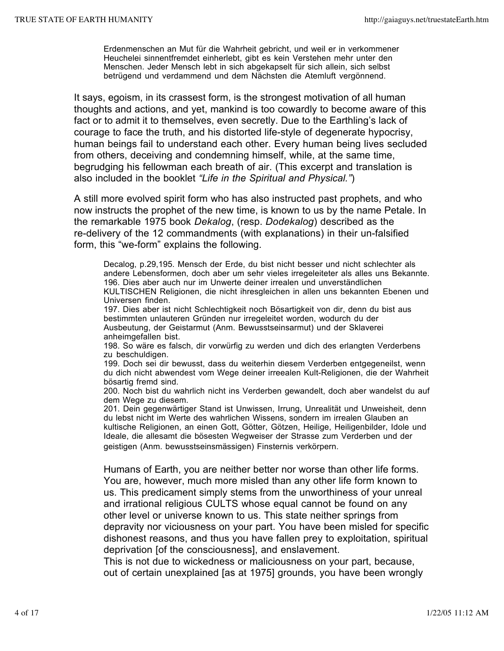Erdenmenschen an Mut für die Wahrheit gebricht, und weil er in verkommener Heuchelei sinnentfremdet einherlebt, gibt es kein Verstehen mehr unter den Menschen. Jeder Mensch lebt in sich abgekapselt für sich allein, sich selbst betrügend und verdammend und dem Nächsten die Atemluft vergönnend.

It says, egoism, in its crassest form, is the strongest motivation of all human thoughts and actions, and yet, mankind is too cowardly to become aware of this fact or to admit it to themselves, even secretly. Due to the Earthling's lack of courage to face the truth, and his distorted life-style of degenerate hypocrisy, human beings fail to understand each other. Every human being lives secluded from others, deceiving and condemning himself, while, at the same time, begrudging his fellowman each breath of air. (This excerpt and translation is also included in the booklet *"Life in the Spiritual and Physical."*)

A still more evolved spirit form who has also instructed past prophets, and who now instructs the prophet of the new time, is known to us by the name Petale. In the remarkable 1975 book *Dekalog*, (resp. *Dodekalog*) described as the re-delivery of the 12 commandments (with explanations) in their un-falsified form, this "we-form" explains the following.

Decalog, p.29,195. Mensch der Erde, du bist nicht besser und nicht schlechter als andere Lebensformen, doch aber um sehr vieles irregeleiteter als alles uns Bekannte. 196. Dies aber auch nur im Unwerte deiner irrealen und unverständlichen KULTISCHEN Religionen, die nicht ihresgleichen in allen uns bekannten Ebenen und Universen finden. 197. Dies aber ist nicht Schlechtigkeit noch Bösartigkeit von dir, denn du bist aus

bestimmten unlauteren Gründen nur irregeleitet worden, wodurch du der Ausbeutung, der Geistarmut (Anm. Bewusstseinsarmut) und der Sklaverei anheimgefallen bist.

198. So wäre es falsch, dir vorwürfig zu werden und dich des erlangten Verderbens zu beschuldigen.

199. Doch sei dir bewusst, dass du weiterhin diesem Verderben entgegeneilst, wenn du dich nicht abwendest vom Wege deiner irreealen Kult-Religionen, die der Wahrheit bösartig fremd sind.

200. Noch bist du wahrlich nicht ins Verderben gewandelt, doch aber wandelst du auf dem Wege zu diesem.

201. Dein gegenwärtiger Stand ist Unwissen, Irrung, Unrealität und Unweisheit, denn du lebst nicht im Werte des wahrlichen Wissens, sondern im irrealen Glauben an kultische Religionen, an einen Gott, Götter, Götzen, Heilige, Heiligenbilder, Idole und Ideale, die allesamt die bösesten Wegweiser der Strasse zum Verderben und der geistigen (Anm. bewusstseinsmässigen) Finsternis verkörpern.

Humans of Earth, you are neither better nor worse than other life forms. You are, however, much more misled than any other life form known to us. This predicament simply stems from the unworthiness of your unreal and irrational religious CULTS whose equal cannot be found on any other level or universe known to us. This state neither springs from depravity nor viciousness on your part. You have been misled for specific dishonest reasons, and thus you have fallen prey to exploitation, spiritual deprivation [of the consciousness], and enslavement.

This is not due to wickedness or maliciousness on your part, because, out of certain unexplained [as at 1975] grounds, you have been wrongly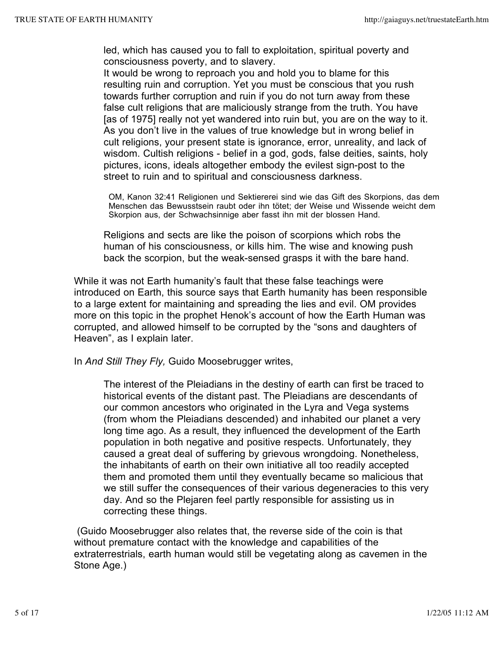led, which has caused you to fall to exploitation, spiritual poverty and consciousness poverty, and to slavery.

It would be wrong to reproach you and hold you to blame for this resulting ruin and corruption. Yet you must be conscious that you rush towards further corruption and ruin if you do not turn away from these false cult religions that are maliciously strange from the truth. You have [as of 1975] really not yet wandered into ruin but, you are on the way to it. As you don't live in the values of true knowledge but in wrong belief in cult religions, your present state is ignorance, error, unreality, and lack of wisdom. Cultish religions - belief in a god, gods, false deities, saints, holy pictures, icons, ideals altogether embody the evilest sign-post to the street to ruin and to spiritual and consciousness darkness.

OM, Kanon 32:41 Religionen und Sektiererei sind wie das Gift des Skorpions, das dem Menschen das Bewusstsein raubt oder ihn tötet; der Weise und Wissende weicht dem Skorpion aus, der Schwachsinnige aber fasst ihn mit der blossen Hand.

Religions and sects are like the poison of scorpions which robs the human of his consciousness, or kills him. The wise and knowing push back the scorpion, but the weak-sensed grasps it with the bare hand.

While it was not Earth humanity's fault that these false teachings were introduced on Earth, this source says that Earth humanity has been responsible to a large extent for maintaining and spreading the lies and evil. OM provides more on this topic in the prophet Henok's account of how the Earth Human was corrupted, and allowed himself to be corrupted by the "sons and daughters of Heaven", as I explain later.

In *And Still They Fly,* Guido Moosebrugger writes,

The interest of the Pleiadians in the destiny of earth can first be traced to historical events of the distant past. The Pleiadians are descendants of our common ancestors who originated in the Lyra and Vega systems (from whom the Pleiadians descended) and inhabited our planet a very long time ago. As a result, they influenced the development of the Earth population in both negative and positive respects. Unfortunately, they caused a great deal of suffering by grievous wrongdoing. Nonetheless, the inhabitants of earth on their own initiative all too readily accepted them and promoted them until they eventually became so malicious that we still suffer the consequences of their various degeneracies to this very day. And so the Plejaren feel partly responsible for assisting us in correcting these things.

(Guido Moosebrugger also relates that, the reverse side of the coin is that without premature contact with the knowledge and capabilities of the extraterrestrials, earth human would still be vegetating along as cavemen in the Stone Age.)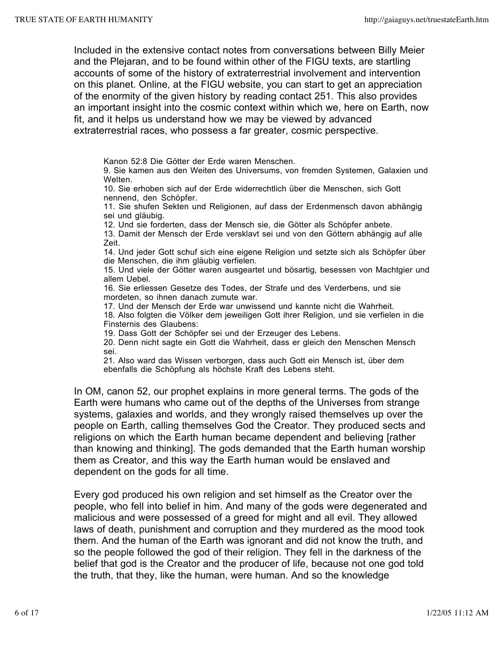Included in the extensive contact notes from conversations between Billy Meier and the Plejaran, and to be found within other of the FIGU texts, are startling accounts of some of the history of extraterrestrial involvement and intervention on this planet. Online, at the FIGU website, you can start to get an appreciation of the enormity of the given history by reading contact 251. This also provides an important insight into the cosmic context within which we, here on Earth, now fit, and it helps us understand how we may be viewed by advanced extraterrestrial races, who possess a far greater, cosmic perspective.

Kanon 52:8 Die Götter der Erde waren Menschen.

9. Sie kamen aus den Weiten des Universums, von fremden Systemen, Galaxien und Welten.

10. Sie erhoben sich auf der Erde widerrechtlich über die Menschen, sich Gott nennend, den Schöpfer.

11. Sie shufen Sekten und Religionen, auf dass der Erdenmensch davon abhängig sei und gläubig.

12. Und sie forderten, dass der Mensch sie, die Götter als Schöpfer anbete.

13. Damit der Mensch der Erde versklavt sei und von den Göttern abhängig auf alle Zeit.

14. Und jeder Gott schuf sich eine eigene Religion und setzte sich als Schöpfer über die Menschen, die ihm gläubig verfielen.

15. Und viele der Götter waren ausgeartet und bösartig, besessen von Machtgier und allem Uebel.

16. Sie erliessen Gesetze des Todes, der Strafe und des Verderbens, und sie mordeten, so ihnen danach zumute war.

17. Und der Mensch der Erde war unwissend und kannte nicht die Wahrheit.

18. Also folgten die Völker dem jeweiligen Gott ihrer Religion, und sie verfielen in die Finsternis des Glaubens:

19. Dass Gott der Schöpfer sei und der Erzeuger des Lebens.

20. Denn nicht sagte ein Gott die Wahrheit, dass er gleich den Menschen Mensch sei.

21. Also ward das Wissen verborgen, dass auch Gott ein Mensch ist, über dem ebenfalls die Schöpfung als höchste Kraft des Lebens steht.

In OM, canon 52, our prophet explains in more general terms. The gods of the Earth were humans who came out of the depths of the Universes from strange systems, galaxies and worlds, and they wrongly raised themselves up over the people on Earth, calling themselves God the Creator. They produced sects and religions on which the Earth human became dependent and believing [rather than knowing and thinking]. The gods demanded that the Earth human worship them as Creator, and this way the Earth human would be enslaved and dependent on the gods for all time.

Every god produced his own religion and set himself as the Creator over the people, who fell into belief in him. And many of the gods were degenerated and malicious and were possessed of a greed for might and all evil. They allowed laws of death, punishment and corruption and they murdered as the mood took them. And the human of the Earth was ignorant and did not know the truth, and so the people followed the god of their religion. They fell in the darkness of the belief that god is the Creator and the producer of life, because not one god told the truth, that they, like the human, were human. And so the knowledge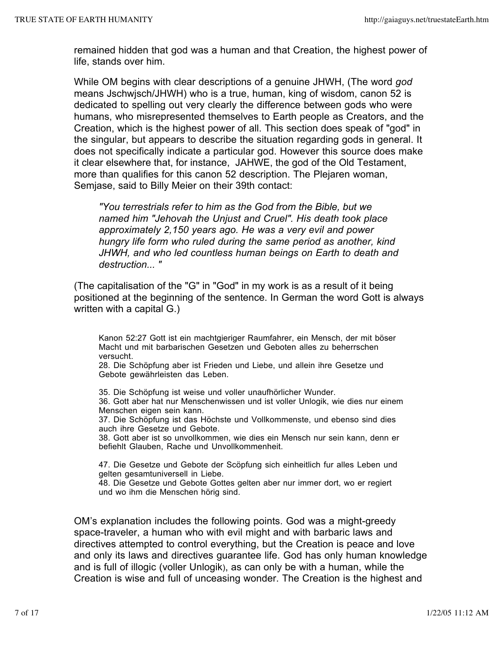remained hidden that god was a human and that Creation, the highest power of life, stands over him.

While OM begins with clear descriptions of a genuine JHWH, (The word *god* means Jschwjsch/JHWH) who is a true, human, king of wisdom, canon 52 is dedicated to spelling out very clearly the difference between gods who were humans, who misrepresented themselves to Earth people as Creators, and the Creation, which is the highest power of all. This section does speak of "god" in the singular, but appears to describe the situation regarding gods in general. It does not specifically indicate a particular god. However this source does make it clear elsewhere that, for instance, JAHWE, the god of the Old Testament, more than qualifies for this canon 52 description. The Plejaren woman, Semjase, said to Billy Meier on their 39th contact:

*"You terrestrials refer to him as the God from the Bible, but we named him "Jehovah the Unjust and Cruel". His death took place approximately 2,150 years ago. He was a very evil and power hungry life form who ruled during the same period as another, kind JHWH, and who led countless human beings on Earth to death and destruction... "*

(The capitalisation of the "G" in "God" in my work is as a result of it being positioned at the beginning of the sentence. In German the word Gott is always written with a capital G.)

Kanon 52:27 Gott ist ein machtgieriger Raumfahrer, ein Mensch, der mit böser Macht und mit barbarischen Gesetzen und Geboten alles zu beherrschen versucht.

28. Die Schöpfung aber ist Frieden und Liebe, und allein ihre Gesetze und Gebote gewährleisten das Leben.

35. Die Schöpfung ist weise und voller unaufhörlicher Wunder. 36. Gott aber hat nur Menschenwissen und ist voller Unlogik, wie dies nur einem Menschen eigen sein kann. 37. Die Schöpfung ist das Höchste und Vollkommenste, und ebenso sind dies

auch ihre Gesetze und Gebote.

38. Gott aber ist so unvollkommen, wie dies ein Mensch nur sein kann, denn er befiehlt Glauben, Rache und Unvollkommenheit.

47. Die Gesetze und Gebote der Scöpfung sich einheitlich fur alles Leben und gelten gesamtuniversell in Liebe.

48. Die Gesetze und Gebote Gottes gelten aber nur immer dort, wo er regiert und wo ihm die Menschen hörig sind.

OM's explanation includes the following points. God was a might-greedy space-traveler, a human who with evil might and with barbaric laws and directives attempted to control everything, but the Creation is peace and love and only its laws and directives guarantee life. God has only human knowledge and is full of illogic (voller Unlogik), as can only be with a human, while the Creation is wise and full of unceasing wonder. The Creation is the highest and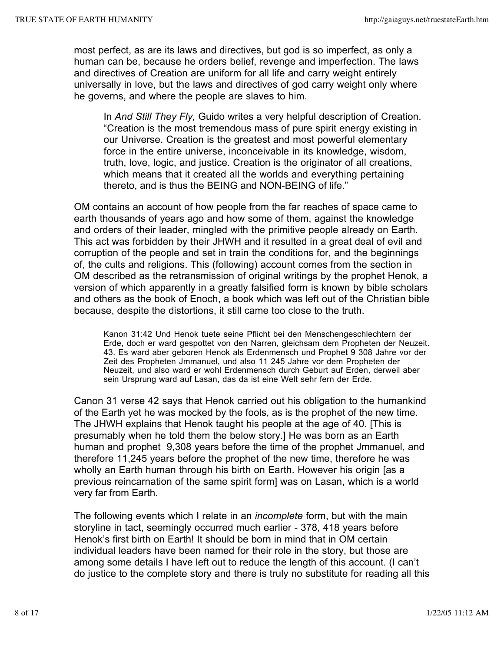most perfect, as are its laws and directives, but god is so imperfect, as only a human can be, because he orders belief, revenge and imperfection. The laws and directives of Creation are uniform for all life and carry weight entirely universally in love, but the laws and directives of god carry weight only where he governs, and where the people are slaves to him.

In *And Still They Fly,* Guido writes a very helpful description of Creation. "Creation is the most tremendous mass of pure spirit energy existing in our Universe. Creation is the greatest and most powerful elementary force in the entire universe, inconceivable in its knowledge, wisdom, truth, love, logic, and justice. Creation is the originator of all creations, which means that it created all the worlds and everything pertaining thereto, and is thus the BEING and NON-BEING of life."

OM contains an account of how people from the far reaches of space came to earth thousands of years ago and how some of them, against the knowledge and orders of their leader, mingled with the primitive people already on Earth. This act was forbidden by their JHWH and it resulted in a great deal of evil and corruption of the people and set in train the conditions for, and the beginnings of, the cults and religions. This (following) account comes from the section in OM described as the retransmission of original writings by the prophet Henok, a version of which apparently in a greatly falsified form is known by bible scholars and others as the book of Enoch, a book which was left out of the Christian bible because, despite the distortions, it still came too close to the truth.

Kanon 31:42 Und Henok tuete seine Pflicht bei den Menschengeschlechtern der Erde, doch er ward gespottet von den Narren, gleichsam dem Propheten der Neuzeit. 43. Es ward aber geboren Henok als Erdenmensch und Prophet 9 308 Jahre vor der Zeit des Propheten Jmmanuel, und also 11 245 Jahre vor dem Propheten der Neuzeit, und also ward er wohl Erdenmensch durch Geburt auf Erden, derweil aber sein Ursprung ward auf Lasan, das da ist eine Welt sehr fern der Erde.

Canon 31 verse 42 says that Henok carried out his obligation to the humankind of the Earth yet he was mocked by the fools, as is the prophet of the new time. The JHWH explains that Henok taught his people at the age of 40. [This is presumably when he told them the below story.] He was born as an Earth human and prophet 9,308 years before the time of the prophet Jmmanuel, and therefore 11,245 years before the prophet of the new time, therefore he was wholly an Earth human through his birth on Earth. However his origin [as a previous reincarnation of the same spirit form] was on Lasan, which is a world very far from Earth.

The following events which I relate in an *incomplete* form, but with the main storyline in tact, seemingly occurred much earlier - 378, 418 years before Henok's first birth on Earth! It should be born in mind that in OM certain individual leaders have been named for their role in the story, but those are among some details I have left out to reduce the length of this account. (I can't do justice to the complete story and there is truly no substitute for reading all this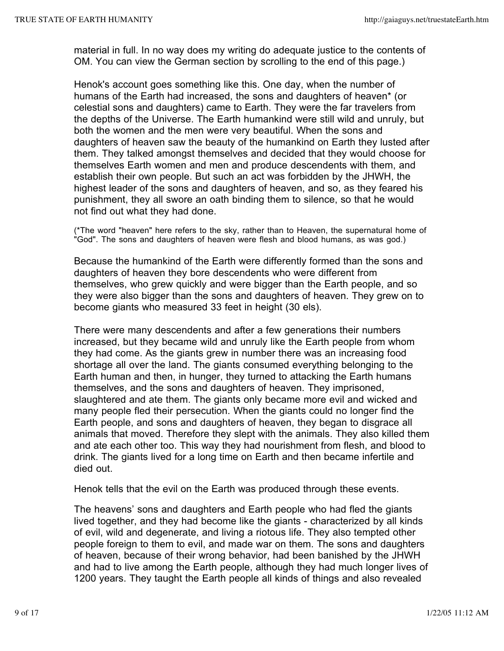material in full. In no way does my writing do adequate justice to the contents of OM. You can view the German section by scrolling to the end of this page.)

Henok's account goes something like this. One day, when the number of humans of the Earth had increased, the sons and daughters of heaven\* (or celestial sons and daughters) came to Earth. They were the far travelers from the depths of the Universe. The Earth humankind were still wild and unruly, but both the women and the men were very beautiful. When the sons and daughters of heaven saw the beauty of the humankind on Earth they lusted after them. They talked amongst themselves and decided that they would choose for themselves Earth women and men and produce descendents with them, and establish their own people. But such an act was forbidden by the JHWH, the highest leader of the sons and daughters of heaven, and so, as they feared his punishment, they all swore an oath binding them to silence, so that he would not find out what they had done.

(\*The word "heaven" here refers to the sky, rather than to Heaven, the supernatural home of "God". The sons and daughters of heaven were flesh and blood humans, as was god.)

Because the humankind of the Earth were differently formed than the sons and daughters of heaven they bore descendents who were different from themselves, who grew quickly and were bigger than the Earth people, and so they were also bigger than the sons and daughters of heaven. They grew on to become giants who measured 33 feet in height (30 els).

There were many descendents and after a few generations their numbers increased, but they became wild and unruly like the Earth people from whom they had come. As the giants grew in number there was an increasing food shortage all over the land. The giants consumed everything belonging to the Earth human and then, in hunger, they turned to attacking the Earth humans themselves, and the sons and daughters of heaven. They imprisoned, slaughtered and ate them. The giants only became more evil and wicked and many people fled their persecution. When the giants could no longer find the Earth people, and sons and daughters of heaven, they began to disgrace all animals that moved. Therefore they slept with the animals. They also killed them and ate each other too. This way they had nourishment from flesh, and blood to drink. The giants lived for a long time on Earth and then became infertile and died out.

Henok tells that the evil on the Earth was produced through these events.

The heavens' sons and daughters and Earth people who had fled the giants lived together, and they had become like the giants - characterized by all kinds of evil, wild and degenerate, and living a riotous life. They also tempted other people foreign to them to evil, and made war on them. The sons and daughters of heaven, because of their wrong behavior, had been banished by the JHWH and had to live among the Earth people, although they had much longer lives of 1200 years. They taught the Earth people all kinds of things and also revealed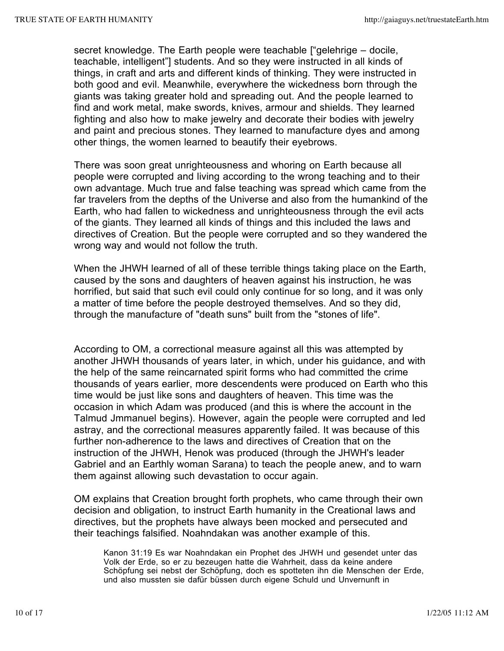secret knowledge. The Earth people were teachable ["gelehrige – docile, teachable, intelligent"] students. And so they were instructed in all kinds of things, in craft and arts and different kinds of thinking. They were instructed in both good and evil. Meanwhile, everywhere the wickedness born through the giants was taking greater hold and spreading out. And the people learned to find and work metal, make swords, knives, armour and shields. They learned fighting and also how to make jewelry and decorate their bodies with jewelry and paint and precious stones. They learned to manufacture dyes and among other things, the women learned to beautify their eyebrows.

There was soon great unrighteousness and whoring on Earth because all people were corrupted and living according to the wrong teaching and to their own advantage. Much true and false teaching was spread which came from the far travelers from the depths of the Universe and also from the humankind of the Earth, who had fallen to wickedness and unrighteousness through the evil acts of the giants. They learned all kinds of things and this included the laws and directives of Creation. But the people were corrupted and so they wandered the wrong way and would not follow the truth.

When the JHWH learned of all of these terrible things taking place on the Earth, caused by the sons and daughters of heaven against his instruction, he was horrified, but said that such evil could only continue for so long, and it was only a matter of time before the people destroyed themselves. And so they did, through the manufacture of "death suns" built from the "stones of life".

According to OM, a correctional measure against all this was attempted by another JHWH thousands of years later, in which, under his guidance, and with the help of the same reincarnated spirit forms who had committed the crime thousands of years earlier, more descendents were produced on Earth who this time would be just like sons and daughters of heaven. This time was the occasion in which Adam was produced (and this is where the account in the Talmud Jmmanuel begins). However, again the people were corrupted and led astray, and the correctional measures apparently failed. It was because of this further non-adherence to the laws and directives of Creation that on the instruction of the JHWH, Henok was produced (through the JHWH's leader Gabriel and an Earthly woman Sarana) to teach the people anew, and to warn them against allowing such devastation to occur again.

OM explains that Creation brought forth prophets, who came through their own decision and obligation, to instruct Earth humanity in the Creational laws and directives, but the prophets have always been mocked and persecuted and their teachings falsified. Noahndakan was another example of this.

Kanon 31:19 Es war Noahndakan ein Prophet des JHWH und gesendet unter das Volk der Erde, so er zu bezeugen hatte die Wahrheit, dass da keine andere Schöpfung sei nebst der Schöpfung, doch es spotteten ihn die Menschen der Erde, und also mussten sie dafür büssen durch eigene Schuld und Unvernunft in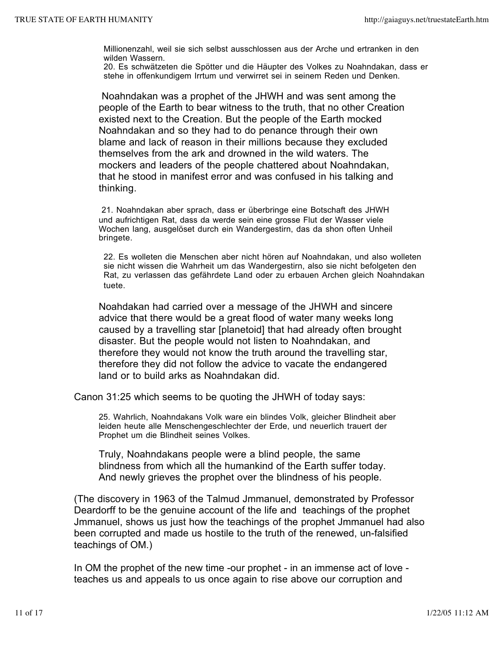Millionenzahl, weil sie sich selbst ausschlossen aus der Arche und ertranken in den wilden Wassern.

20. Es schwätzeten die Spötter und die Häupter des Volkes zu Noahndakan, dass er stehe in offenkundigem Irrtum und verwirret sei in seinem Reden und Denken.

Noahndakan was a prophet of the JHWH and was sent among the people of the Earth to bear witness to the truth, that no other Creation existed next to the Creation. But the people of the Earth mocked Noahndakan and so they had to do penance through their own blame and lack of reason in their millions because they excluded themselves from the ark and drowned in the wild waters. The mockers and leaders of the people chattered about Noahndakan, that he stood in manifest error and was confused in his talking and thinking.

21. Noahndakan aber sprach, dass er überbringe eine Botschaft des JHWH und aufrichtigen Rat, dass da werde sein eine grosse Flut der Wasser viele Wochen lang, ausgelöset durch ein Wandergestirn, das da shon often Unheil bringete.

22. Es wolleten die Menschen aber nicht hören auf Noahndakan, und also wolleten sie nicht wissen die Wahrheit um das Wandergestirn, also sie nicht befolgeten den Rat, zu verlassen das gefährdete Land oder zu erbauen Archen gleich Noahndakan tuete.

Noahdakan had carried over a message of the JHWH and sincere advice that there would be a great flood of water many weeks long caused by a travelling star [planetoid] that had already often brought disaster. But the people would not listen to Noahndakan, and therefore they would not know the truth around the travelling star, therefore they did not follow the advice to vacate the endangered land or to build arks as Noahndakan did.

Canon 31:25 which seems to be quoting the JHWH of today says:

25. Wahrlich, Noahndakans Volk ware ein blindes Volk, gleicher Blindheit aber leiden heute alle Menschengeschlechter der Erde, und neuerlich trauert der Prophet um die Blindheit seines Volkes.

Truly, Noahndakans people were a blind people, the same blindness from which all the humankind of the Earth suffer today. And newly grieves the prophet over the blindness of his people.

(The discovery in 1963 of the Talmud Jmmanuel, demonstrated by Professor Deardorff to be the genuine account of the life and teachings of the prophet Jmmanuel, shows us just how the teachings of the prophet Jmmanuel had also been corrupted and made us hostile to the truth of the renewed, un-falsified teachings of OM.)

In OM the prophet of the new time -our prophet - in an immense act of love teaches us and appeals to us once again to rise above our corruption and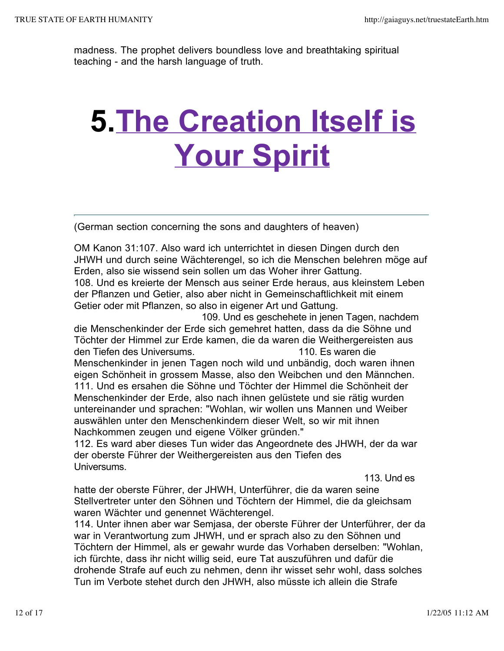madness. The prophet delivers boundless love and breathtaking spiritual teaching - and the harsh language of truth.

## **5.The Creation Itself is Your Spirit**

(German section concerning the sons and daughters of heaven)

OM Kanon 31:107. Also ward ich unterrichtet in diesen Dingen durch den JHWH und durch seine Wächterengel, so ich die Menschen belehren möge auf Erden, also sie wissend sein sollen um das Woher ihrer Gattung. 108. Und es kreierte der Mensch aus seiner Erde heraus, aus kleinstem Leben der Pflanzen und Getier, also aber nicht in Gemeinschaftlichkeit mit einem Getier oder mit Pflanzen, so also in eigener Art und Gattung.

 109. Und es geschehete in jenen Tagen, nachdem die Menschenkinder der Erde sich gemehret hatten, dass da die Söhne und Töchter der Himmel zur Erde kamen, die da waren die Weithergereisten aus den Tiefen des Universums. 110. Es waren die Menschenkinder in jenen Tagen noch wild und unbändig, doch waren ihnen eigen Schönheit in grossem Masse, also den Weibchen und den Männchen. 111. Und es ersahen die Söhne und Töchter der Himmel die Schönheit der Menschenkinder der Erde, also nach ihnen gelüstete und sie rätig wurden untereinander und sprachen: "Wohlan, wir wollen uns Mannen und Weiber auswählen unter den Menschenkindern dieser Welt, so wir mit ihnen Nachkommen zeugen und eigene Völker gründen."

112. Es ward aber dieses Tun wider das Angeordnete des JHWH, der da war der oberste Führer der Weithergereisten aus den Tiefen des Universums.

113. Und es

hatte der oberste Führer, der JHWH, Unterführer, die da waren seine Stellvertreter unter den Söhnen und Töchtern der Himmel, die da gleichsam waren Wächter und genennet Wächterengel.

114. Unter ihnen aber war Semjasa, der oberste Führer der Unterführer, der da war in Verantwortung zum JHWH, und er sprach also zu den Söhnen und Töchtern der Himmel, als er gewahr wurde das Vorhaben derselben: "Wohlan, ich fürchte, dass ihr nicht willig seid, eure Tat auszuführen und dafür die drohende Strafe auf euch zu nehmen, denn ihr wisset sehr wohl, dass solches Tun im Verbote stehet durch den JHWH, also müsste ich allein die Strafe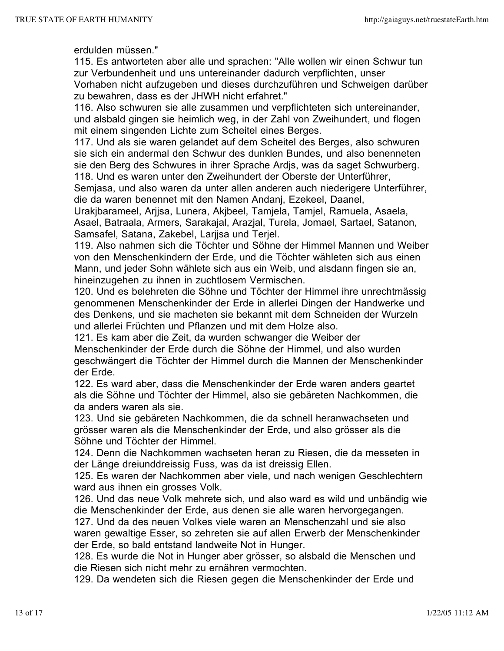erdulden müssen."

115. Es antworteten aber alle und sprachen: "Alle wollen wir einen Schwur tun zur Verbundenheit und uns untereinander dadurch verpflichten, unser Vorhaben nicht aufzugeben und dieses durchzuführen und Schweigen darüber zu bewahren, dass es der JHWH nicht erfahret."

116. Also schwuren sie alle zusammen und verpflichteten sich untereinander, und alsbald gingen sie heimlich weg, in der Zahl von Zweihundert, und flogen mit einem singenden Lichte zum Scheitel eines Berges.

117. Und als sie waren gelandet auf dem Scheitel des Berges, also schwuren sie sich ein andermal den Schwur des dunklen Bundes, und also benenneten sie den Berg des Schwures in ihrer Sprache Ardjs, was da saget Schwurberg. 118. Und es waren unter den Zweihundert der Oberste der Unterführer,

Semjasa, und also waren da unter allen anderen auch niederigere Unterführer, die da waren benennet mit den Namen Andanj, Ezekeel, Daanel,

Urakjbarameel, Arjjsa, Lunera, Akjbeel, Tamjela, Tamjel, Ramuela, Asaela, Asael, Batraala, Armers, Sarakajal, Arazjal, Turela, Jomael, Sartael, Satanon, Samsafel, Satana, Zakebel, Larjjsa und Terjel.

119. Also nahmen sich die Töchter und Söhne der Himmel Mannen und Weiber von den Menschenkindern der Erde, und die Töchter wähleten sich aus einen Mann, und jeder Sohn wählete sich aus ein Weib, und alsdann fingen sie an, hineinzugehen zu ihnen in zuchtlosem Vermischen.

120. Und es belehreten die Söhne und Töchter der Himmel ihre unrechtmässig genommenen Menschenkinder der Erde in allerlei Dingen der Handwerke und des Denkens, und sie macheten sie bekannt mit dem Schneiden der Wurzeln und allerlei Früchten und Pflanzen und mit dem Holze also.

121. Es kam aber die Zeit, da wurden schwanger die Weiber der Menschenkinder der Erde durch die Söhne der Himmel, und also wurden geschwängert die Töchter der Himmel durch die Mannen der Menschenkinder der Erde.

122. Es ward aber, dass die Menschenkinder der Erde waren anders geartet als die Söhne und Töchter der Himmel, also sie gebäreten Nachkommen, die da anders waren als sie.

123. Und sie gebäreten Nachkommen, die da schnell heranwachseten und grösser waren als die Menschenkinder der Erde, und also grösser als die Söhne und Töchter der Himmel.

124. Denn die Nachkommen wachseten heran zu Riesen, die da messeten in der Länge dreiunddreissig Fuss, was da ist dreissig Ellen.

125. Es waren der Nachkommen aber viele, und nach wenigen Geschlechtern ward aus ihnen ein grosses Volk.

126. Und das neue Volk mehrete sich, und also ward es wild und unbändig wie die Menschenkinder der Erde, aus denen sie alle waren hervorgegangen.

127. Und da des neuen Volkes viele waren an Menschenzahl und sie also waren gewaltige Esser, so zehreten sie auf allen Erwerb der Menschenkinder der Erde, so bald entstand landweite Not in Hunger.

128. Es wurde die Not in Hunger aber grösser, so alsbald die Menschen und die Riesen sich nicht mehr zu ernähren vermochten.

129. Da wendeten sich die Riesen gegen die Menschenkinder der Erde und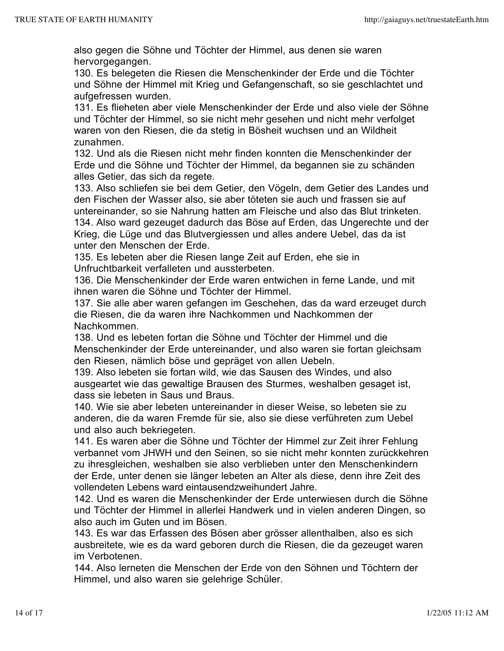also gegen die Söhne und Töchter der Himmel, aus denen sie waren hervorgegangen.

130. Es belegeten die Riesen die Menschenkinder der Erde und die Töchter und Söhne der Himmel mit Krieg und Gefangenschaft, so sie geschlachtet und aufgefressen wurden.

131. Es flieheten aber viele Menschenkinder der Erde und also viele der Söhne und Töchter der Himmel, so sie nicht mehr gesehen und nicht mehr verfolget waren von den Riesen, die da stetig in Bösheit wuchsen und an Wildheit zunahmen.

132. Und als die Riesen nicht mehr finden konnten die Menschenkinder der Erde und die Söhne und Töchter der Himmel, da begannen sie zu schänden alles Getier, das sich da regete.

133. Also schliefen sie bei dem Getier, den Vögeln, dem Getier des Landes und den Fischen der Wasser also, sie aber töteten sie auch und frassen sie auf untereinander, so sie Nahrung hatten am Fleische und also das Blut trinketen. 134. Also ward gezeuget dadurch das Böse auf Erden, das Ungerechte und der Krieg, die Lüge und das Blutvergiessen und alles andere Uebel, das da ist unter den Menschen der Erde.

135. Es lebeten aber die Riesen lange Zeit auf Erden, ehe sie in Unfruchtbarkeit verfalleten und aussterbeten.

136. Die Menschenkinder der Erde waren entwichen in ferne Lande, und mit ihnen waren die Söhne und Töchter der Himmel.

137. Sie alle aber waren gefangen im Geschehen, das da ward erzeuget durch die Riesen, die da waren ihre Nachkommen und Nachkommen der Nachkommen.

138. Und es lebeten fortan die Söhne und Töchter der Himmel und die Menschenkinder der Erde untereinander, und also waren sie fortan gleichsam den Riesen, nämlich böse und gepräget von allen Uebeln.

139. Also lebeten sie fortan wild, wie das Sausen des Windes, und also ausgeartet wie das gewaltige Brausen des Sturmes, weshalben gesaget ist, dass sie lebeten in Saus und Braus.

140. Wie sie aber lebeten untereinander in dieser Weise, so lebeten sie zu anderen, die da waren Fremde für sie, also sie diese verführeten zum Uebel und also auch bekriegeten.

141. Es waren aber die Söhne und Töchter der Himmel zur Zeit ihrer Fehlung verbannet vom JHWH und den Seinen, so sie nicht mehr konnten zurückkehren zu ihresgleichen, weshalben sie also verblieben unter den Menschenkindern der Erde, unter denen sie länger lebeten an Alter als diese, denn ihre Zeit des vollendeten Lebens ward eintausendzweihundert Jahre.

142. Und es waren die Menschenkinder der Erde unterwiesen durch die Söhne und Töchter der Himmel in allerlei Handwerk und in vielen anderen Dingen, so also auch im Guten und im Bösen.

143. Es war das Erfassen des Bösen aber grösser allenthalben, also es sich ausbreitete, wie es da ward geboren durch die Riesen, die da gezeuget waren im Verbotenen.

144. Also lerneten die Menschen der Erde von den Söhnen und Töchtern der Himmel, und also waren sie gelehrige Schüler.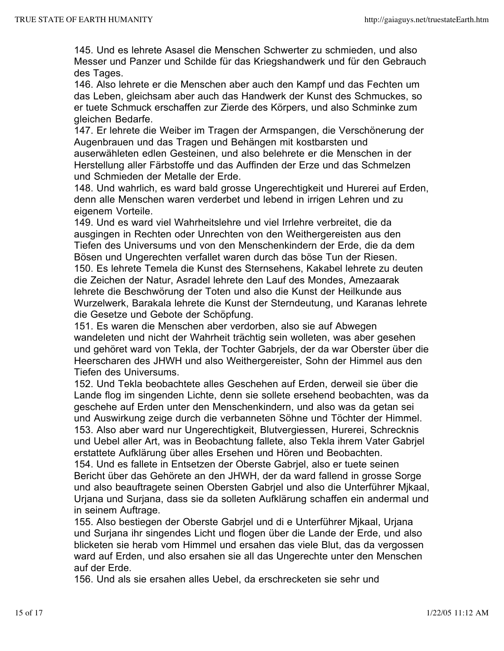145. Und es lehrete Asasel die Menschen Schwerter zu schmieden, und also Messer und Panzer und Schilde für das Kriegshandwerk und für den Gebrauch des Tages.

146. Also lehrete er die Menschen aber auch den Kampf und das Fechten um das Leben, gleichsam aber auch das Handwerk der Kunst des Schmuckes, so er tuete Schmuck erschaffen zur Zierde des Körpers, und also Schminke zum gleichen Bedarfe.

147. Er lehrete die Weiber im Tragen der Armspangen, die Verschönerung der Augenbrauen und das Tragen und Behängen mit kostbarsten und auserwähleten edlen Gesteinen, und also belehrete er die Menschen in der Herstellung aller Färbstoffe und das Auffinden der Erze und das Schmelzen und Schmieden der Metalle der Erde.

148. Und wahrlich, es ward bald grosse Ungerechtigkeit und Hurerei auf Erden, denn alle Menschen waren verderbet und lebend in irrigen Lehren und zu eigenem Vorteile.

149. Und es ward viel Wahrheitslehre und viel Irrlehre verbreitet, die da ausgingen in Rechten oder Unrechten von den Weithergereisten aus den Tiefen des Universums und von den Menschenkindern der Erde, die da dem Bösen und Ungerechten verfallet waren durch das böse Tun der Riesen. 150. Es lehrete Temela die Kunst des Sternsehens, Kakabel lehrete zu deuten die Zeichen der Natur, Asradel lehrete den Lauf des Mondes, Amezaarak lehrete die Beschwörung der Toten und also die Kunst der Heilkunde aus Wurzelwerk, Barakala lehrete die Kunst der Sterndeutung, und Karanas lehrete die Gesetze und Gebote der Schöpfung.

151. Es waren die Menschen aber verdorben, also sie auf Abwegen wandeleten und nicht der Wahrheit trächtig sein wolleten, was aber gesehen und gehöret ward von Tekla, der Tochter Gabrjels, der da war Oberster über die Heerscharen des JHWH und also Weithergereister, Sohn der Himmel aus den Tiefen des Universums.

152. Und Tekla beobachtete alles Geschehen auf Erden, derweil sie über die Lande flog im singenden Lichte, denn sie sollete ersehend beobachten, was da geschehe auf Erden unter den Menschenkindern, und also was da getan sei und Auswirkung zeige durch die verbanneten Söhne und Töchter der Himmel. 153. Also aber ward nur Ungerechtigkeit, Blutvergiessen, Hurerei, Schrecknis und Uebel aller Art, was in Beobachtung fallete, also Tekla ihrem Vater Gabrjel erstattete Aufklärung über alles Ersehen und Hören und Beobachten.

154. Und es fallete in Entsetzen der Oberste Gabrjel, also er tuete seinen Bericht über das Gehörete an den JHWH, der da ward fallend in grosse Sorge und also beauftragete seinen Obersten Gabrjel und also die Unterführer Mjkaal, Urjana und Surjana, dass sie da solleten Aufklärung schaffen ein andermal und in seinem Auftrage.

155. Also bestiegen der Oberste Gabrjel und di e Unterführer Mjkaal, Urjana und Surjana ihr singendes Licht und flogen über die Lande der Erde, und also blicketen sie herab vom Himmel und ersahen das viele Blut, das da vergossen ward auf Erden, und also ersahen sie all das Ungerechte unter den Menschen auf der Erde.

156. Und als sie ersahen alles Uebel, da erschrecketen sie sehr und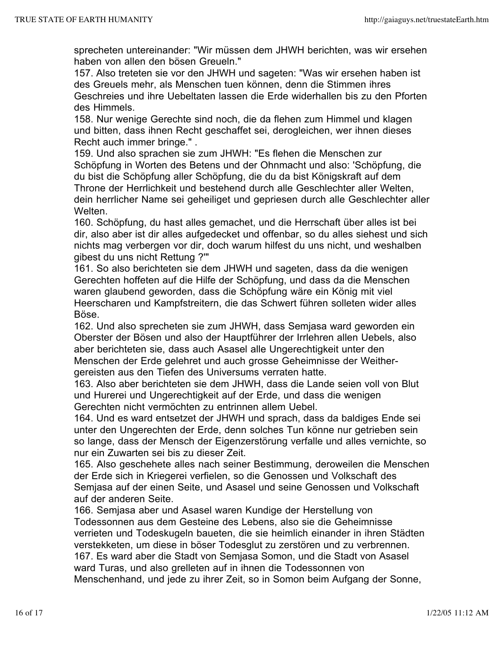sprecheten untereinander: "Wir müssen dem JHWH berichten, was wir ersehen haben von allen den bösen Greueln."

157. Also treteten sie vor den JHWH und sageten: "Was wir ersehen haben ist des Greuels mehr, als Menschen tuen können, denn die Stimmen ihres Geschreies und ihre Uebeltaten lassen die Erde widerhallen bis zu den Pforten des Himmels.

158. Nur wenige Gerechte sind noch, die da flehen zum Himmel und klagen und bitten, dass ihnen Recht geschaffet sei, derogleichen, wer ihnen dieses Recht auch immer bringe." .

159. Und also sprachen sie zum JHWH: "Es flehen die Menschen zur Schöpfung in Worten des Betens und der Ohnmacht und also: 'Schöpfung, die du bist die Schöpfung aller Schöpfung, die du da bist Königskraft auf dem Throne der Herrlichkeit und bestehend durch alle Geschlechter aller Welten, dein herrlicher Name sei geheiliget und gepriesen durch alle Geschlechter aller Welten.

160. Schöpfung, du hast alles gemachet, und die Herrschaft über alles ist bei dir, also aber ist dir alles aufgedecket und offenbar, so du alles siehest und sich nichts mag verbergen vor dir, doch warum hilfest du uns nicht, und weshalben gibest du uns nicht Rettung ?'"

161. So also berichteten sie dem JHWH und sageten, dass da die wenigen Gerechten hoffeten auf die Hilfe der Schöpfung, und dass da die Menschen waren glaubend geworden, dass die Schöpfung wäre ein König mit viel Heerscharen und Kampfstreitern, die das Schwert führen solleten wider alles Böse.

162. Und also sprecheten sie zum JHWH, dass Semjasa ward geworden ein Oberster der Bösen und also der Hauptführer der Irrlehren allen Uebels, also aber berichteten sie, dass auch Asasel alle Ungerechtigkeit unter den Menschen der Erde gelehret und auch grosse Geheimnisse der Weithergereisten aus den Tiefen des Universums verraten hatte.

163. Also aber berichteten sie dem JHWH, dass die Lande seien voll von Blut und Hurerei und Ungerechtigkeit auf der Erde, und dass die wenigen Gerechten nicht vermöchten zu entrinnen allem Uebel.

164. Und es ward entsetzet der JHWH und sprach, dass da baldiges Ende sei unter den Ungerechten der Erde, denn solches Tun könne nur getrieben sein so lange, dass der Mensch der Eigenzerstörung verfalle und alles vernichte, so nur ein Zuwarten sei bis zu dieser Zeit.

165. Also geschehete alles nach seiner Bestimmung, deroweilen die Menschen der Erde sich in Kriegerei verfielen, so die Genossen und Volkschaft des Semjasa auf der einen Seite, und Asasel und seine Genossen und Volkschaft auf der anderen Seite.

166. Semjasa aber und Asasel waren Kundige der Herstellung von Todessonnen aus dem Gesteine des Lebens, also sie die Geheimnisse verrieten und Todeskugeln baueten, die sie heimlich einander in ihren Städten verstekketen, um diese in böser Todesglut zu zerstören und zu verbrennen. 167. Es ward aber die Stadt von Semjasa Somon, und die Stadt von Asasel ward Turas, und also grelleten auf in ihnen die Todessonnen von Menschenhand, und jede zu ihrer Zeit, so in Somon beim Aufgang der Sonne,